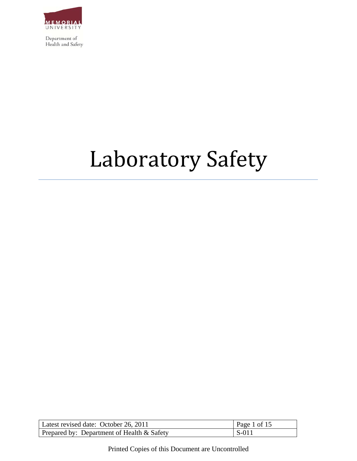

# Laboratory Safety

| Latest revised date: October 26, 2011         | Page 1 of 15 |
|-----------------------------------------------|--------------|
| Prepared by: Department of Health $\&$ Safety | $S-011$      |

Printed Copies of this Document are Uncontrolled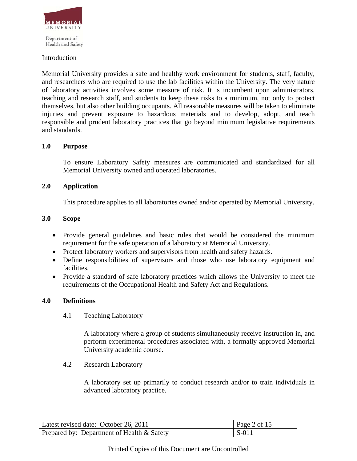

Health and Safety

#### Introduction

Memorial University provides a safe and healthy work environment for students, staff, faculty, and researchers who are required to use the lab facilities within the University. The very nature of laboratory activities involves some measure of risk. It is incumbent upon administrators, teaching and research staff, and students to keep these risks to a minimum, not only to protect themselves, but also other building occupants. All reasonable measures will be taken to eliminate injuries and prevent exposure to hazardous materials and to develop, adopt, and teach responsible and prudent laboratory practices that go beyond minimum legislative requirements and standards.

#### **1.0 Purpose**

To ensure Laboratory Safety measures are communicated and standardized for all Memorial University owned and operated laboratories.

#### **2.0 Application**

This procedure applies to all laboratories owned and/or operated by Memorial University.

#### **3.0 Scope**

- Provide general guidelines and basic rules that would be considered the minimum requirement for the safe operation of a laboratory at Memorial University.
- Protect laboratory workers and supervisors from health and safety hazards.
- Define responsibilities of supervisors and those who use laboratory equipment and facilities.
- Provide a standard of safe laboratory practices which allows the University to meet the requirements of the Occupational Health and Safety Act and Regulations.

#### **4.0 Definitions**

4.1 Teaching Laboratory

A laboratory where a group of students simultaneously receive instruction in, and perform experimental procedures associated with, a formally approved Memorial University academic course.

4.2 Research Laboratory

A laboratory set up primarily to conduct research and/or to train individuals in advanced laboratory practice.

| Latest revised date: October 26, 2011      | Page 2 of 15 |
|--------------------------------------------|--------------|
| Prepared by: Department of Health & Safety | S-011        |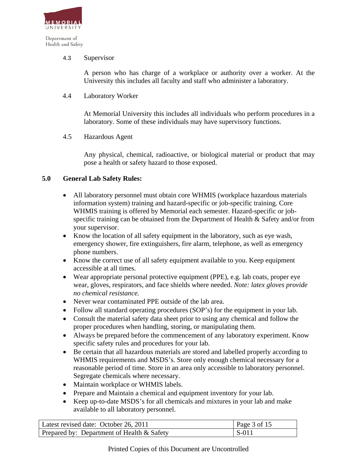

Health and Safety

#### 4.3 Supervisor

A person who has charge of a workplace or authority over a worker. At the University this includes all faculty and staff who administer a laboratory.

#### 4.4 Laboratory Worker

At Memorial University this includes all individuals who perform procedures in a laboratory. Some of these individuals may have supervisory functions.

4.5 Hazardous Agent

Any physical, chemical, radioactive, or biological material or product that may pose a health or safety hazard to those exposed.

#### **5.0 General Lab Safety Rules:**

- All laboratory personnel must obtain core WHMIS (workplace hazardous materials information system) training and hazard-specific or job-specific training. Core WHMIS training is offered by Memorial each semester. Hazard-specific or jobspecific training can be obtained from the Department of Health & Safety and/or from your supervisor.
- Know the location of all safety equipment in the laboratory, such as eye wash, emergency shower, fire extinguishers, fire alarm, telephone, as well as emergency phone numbers.
- Know the correct use of all safety equipment available to you. Keep equipment accessible at all times.
- Wear appropriate personal protective equipment (PPE), e.g. lab coats, proper eye wear, gloves, respirators, and face shields where needed. *Note: latex gloves provide no chemical resistance.*
- Never wear contaminated PPE outside of the lab area.
- Follow all standard operating procedures (SOP's) for the equipment in your lab.
- Consult the material safety data sheet prior to using any chemical and follow the proper procedures when handling, storing, or manipulating them.
- Always be prepared before the commencement of any laboratory experiment. Know specific safety rules and procedures for your lab.
- Be certain that all hazardous materials are stored and labelled properly according to WHMIS requirements and MSDS's. Store only enough chemical necessary for a reasonable period of time. Store in an area only accessible to laboratory personnel. Segregate chemicals where necessary.
- Maintain workplace or WHMIS labels.
- Prepare and Maintain a chemical and equipment inventory for your lab.
- Keep up-to-date MSDS's for all chemicals and mixtures in your lab and make available to all laboratory personnel.

| Latest revised date: October 26, 2011      | Page 3 of 15 |
|--------------------------------------------|--------------|
| Prepared by: Department of Health & Safety | l S-011      |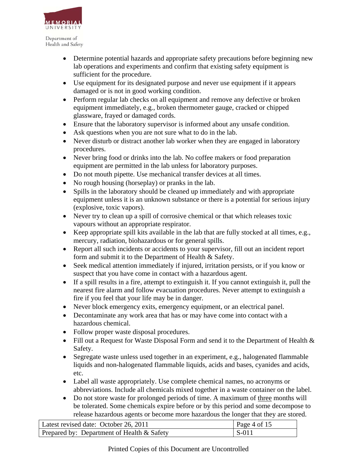

- Determine potential hazards and appropriate safety precautions before beginning new lab operations and experiments and confirm that existing safety equipment is sufficient for the procedure.
- Use equipment for its designated purpose and never use equipment if it appears damaged or is not in good working condition.
- Perform regular lab checks on all equipment and remove any defective or broken equipment immediately, e.g., broken thermometer gauge, cracked or chipped glassware, frayed or damaged cords.
- Ensure that the laboratory supervisor is informed about any unsafe condition.
- Ask questions when you are not sure what to do in the lab.
- Never disturb or distract another lab worker when they are engaged in laboratory procedures.
- Never bring food or drinks into the lab. No coffee makers or food preparation equipment are permitted in the lab unless for laboratory purposes.
- Do not mouth pipette. Use mechanical transfer devices at all times.
- No rough housing (horseplay) or pranks in the lab.
- Spills in the laboratory should be cleaned up immediately and with appropriate equipment unless it is an unknown substance or there is a potential for serious injury (explosive, toxic vapors).
- Never try to clean up a spill of corrosive chemical or that which releases toxic vapours without an appropriate respirator.
- Keep appropriate spill kits available in the lab that are fully stocked at all times, e.g., mercury, radiation, biohazardous or for general spills.
- Report all such incidents or accidents to your supervisor, fill out an incident report form and submit it to the Department of Health & Safety.
- Seek medical attention immediately if injured, irritation persists, or if you know or suspect that you have come in contact with a hazardous agent.
- If a spill results in a fire, attempt to extinguish it. If you cannot extinguish it, pull the nearest fire alarm and follow evacuation procedures. Never attempt to extinguish a fire if you feel that your life may be in danger.
- Never block emergency exits, emergency equipment, or an electrical panel.
- Decontaminate any work area that has or may have come into contact with a hazardous chemical.
- Follow proper waste disposal procedures.
- Fill out a Request for Waste Disposal Form and send it to the Department of Health  $\&$ Safety.
- Segregate waste unless used together in an experiment, e.g., halogenated flammable liquids and non-halogenated flammable liquids, acids and bases, cyanides and acids, etc.
- Label all waste appropriately. Use complete chemical names, no acronyms or abbreviations. Include all chemicals mixed together in a waste container on the label.
- Do not store waste for prolonged periods of time. A maximum of three months will be tolerated. Some chemicals expire before or by this period and some decompose to release hazardous agents or become more hazardous the longer that they are stored.

| Latest revised date: October 26, 2011        | Page 4 of 15 |
|----------------------------------------------|--------------|
| Prepared by: Department of Health $&$ Safety | S-011        |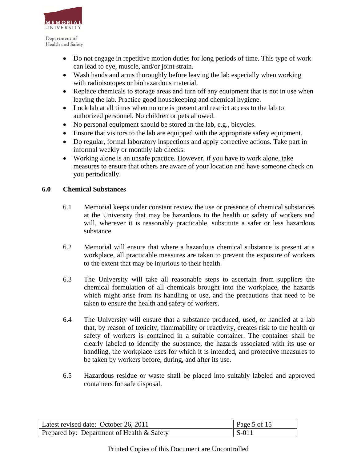

- Do not engage in repetitive motion duties for long periods of time. This type of work can lead to eye, muscle, and/or joint strain.
- Wash hands and arms thoroughly before leaving the lab especially when working with radioisotopes or biohazardous material.
- Replace chemicals to storage areas and turn off any equipment that is not in use when leaving the lab. Practice good housekeeping and chemical hygiene.
- Lock lab at all times when no one is present and restrict access to the lab to authorized personnel. No children or pets allowed.
- No personal equipment should be stored in the lab, e.g., bicycles.
- Ensure that visitors to the lab are equipped with the appropriate safety equipment.
- Do regular, formal laboratory inspections and apply corrective actions. Take part in informal weekly or monthly lab checks.
- Working alone is an unsafe practice. However, if you have to work alone, take measures to ensure that others are aware of your location and have someone check on you periodically.

## **6.0 Chemical Substances**

- 6.1 Memorial keeps under constant review the use or presence of chemical substances at the University that may be hazardous to the health or safety of workers and will, wherever it is reasonably practicable, substitute a safer or less hazardous substance.
- 6.2 Memorial will ensure that where a hazardous chemical substance is present at a workplace, all practicable measures are taken to prevent the exposure of workers to the extent that may be injurious to their health.
- 6.3 The University will take all reasonable steps to ascertain from suppliers the chemical formulation of all chemicals brought into the workplace, the hazards which might arise from its handling or use, and the precautions that need to be taken to ensure the health and safety of workers.
- 6.4 The University will ensure that a substance produced, used, or handled at a lab that, by reason of toxicity, flammability or reactivity, creates risk to the health or safety of workers is contained in a suitable container. The container shall be clearly labeled to identify the substance, the hazards associated with its use or handling, the workplace uses for which it is intended, and protective measures to be taken by workers before, during, and after its use.
- 6.5 Hazardous residue or waste shall be placed into suitably labeled and approved containers for safe disposal.

| Latest revised date: October 26, 2011      | Page 5 of 15  |
|--------------------------------------------|---------------|
| Prepared by: Department of Health & Safety | $\vert$ S-011 |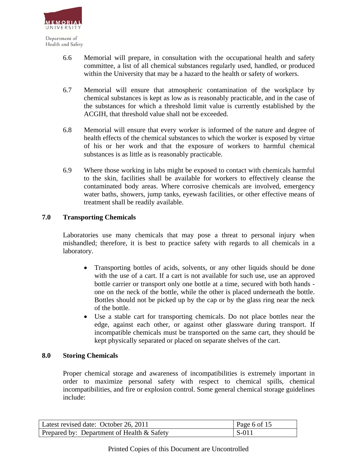

- 6.6 Memorial will prepare, in consultation with the occupational health and safety committee, a list of all chemical substances regularly used, handled, or produced within the University that may be a hazard to the health or safety of workers.
- 6.7 Memorial will ensure that atmospheric contamination of the workplace by chemical substances is kept as low as is reasonably practicable, and in the case of the substances for which a threshold limit value is currently established by the ACGIH, that threshold value shall not be exceeded.
- 6.8 Memorial will ensure that every worker is informed of the nature and degree of health effects of the chemical substances to which the worker is exposed by virtue of his or her work and that the exposure of workers to harmful chemical substances is as little as is reasonably practicable.
- 6.9 Where those working in labs might be exposed to contact with chemicals harmful to the skin, facilities shall be available for workers to effectively cleanse the contaminated body areas. Where corrosive chemicals are involved, emergency water baths, showers, jump tanks, eyewash facilities, or other effective means of treatment shall be readily available.

## **7.0 Transporting Chemicals**

Laboratories use many chemicals that may pose a threat to personal injury when mishandled; therefore, it is best to practice safety with regards to all chemicals in a laboratory.

- Transporting bottles of acids, solvents, or any other liquids should be done with the use of a cart. If a cart is not available for such use, use an approved bottle carrier or transport only one bottle at a time, secured with both hands one on the neck of the bottle, while the other is placed underneath the bottle. Bottles should not be picked up by the cap or by the glass ring near the neck of the bottle.
- Use a stable cart for transporting chemicals. Do not place bottles near the edge, against each other, or against other glassware during transport. If incompatible chemicals must be transported on the same cart, they should be kept physically separated or placed on separate shelves of the cart.

## **8.0 Storing Chemicals**

 Proper chemical storage and awareness of incompatibilities is extremely important in order to maximize personal safety with respect to chemical spills, chemical incompatibilities, and fire or explosion control. Some general chemical storage guidelines include:

| Latest revised date: October 26, 2011      | Page 6 of 15 |
|--------------------------------------------|--------------|
| Prepared by: Department of Health & Safety | $\mid$ S-011 |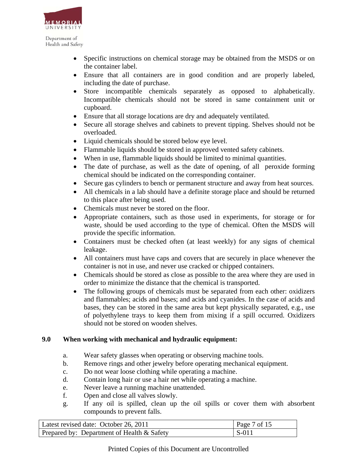

- Specific instructions on chemical storage may be obtained from the MSDS or on the container label.
- Ensure that all containers are in good condition and are properly labeled, including the date of purchase.
- Store incompatible chemicals separately as opposed to alphabetically. Incompatible chemicals should not be stored in same containment unit or cupboard.
- Ensure that all storage locations are dry and adequately ventilated.
- Secure all storage shelves and cabinets to prevent tipping. Shelves should not be overloaded.
- Liquid chemicals should be stored below eye level.
- Flammable liquids should be stored in approved vented safety cabinets.
- When in use, flammable liquids should be limited to minimal quantities.
- The date of purchase, as well as the date of opening, of all peroxide forming chemical should be indicated on the corresponding container.
- Secure gas cylinders to bench or permanent structure and away from heat sources.
- All chemicals in a lab should have a definite storage place and should be returned to this place after being used.
- Chemicals must never be stored on the floor.
- Appropriate containers, such as those used in experiments, for storage or for waste, should be used according to the type of chemical. Often the MSDS will provide the specific information.
- Containers must be checked often (at least weekly) for any signs of chemical leakage.
- All containers must have caps and covers that are securely in place whenever the container is not in use, and never use cracked or chipped containers.
- Chemicals should be stored as close as possible to the area where they are used in order to minimize the distance that the chemical is transported.
- The following groups of chemicals must be separated from each other: oxidizers and flammables; acids and bases; and acids and cyanides. In the case of acids and bases, they can be stored in the same area but kept physically separated, e.g., use of polyethylene trays to keep them from mixing if a spill occurred. Oxidizers should not be stored on wooden shelves.

# **9.0 When working with mechanical and hydraulic equipment:**

- a. Wear safety glasses when operating or observing machine tools.
- b. Remove rings and other jewelry before operating mechanical equipment.
- c. Do not wear loose clothing while operating a machine.
- d. Contain long hair or use a hair net while operating a machine.
- e. Never leave a running machine unattended.
- f. Open and close all valves slowly.
- g. If any oil is spilled, clean up the oil spills or cover them with absorbent compounds to prevent falls.

| Latest revised date: October 26, 2011      | Page 7 of 15 |
|--------------------------------------------|--------------|
| Prepared by: Department of Health & Safety | $S-011$      |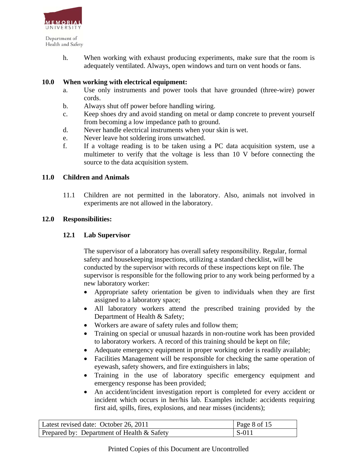

> h. When working with exhaust producing experiments, make sure that the room is adequately ventilated. Always, open windows and turn on vent hoods or fans.

## **10.0 When working with electrical equipment:**

- a. Use only instruments and power tools that have grounded (three-wire) power cords.
- b. Always shut off power before handling wiring.
- c. Keep shoes dry and avoid standing on metal or damp concrete to prevent yourself from becoming a low impedance path to ground.
- d. Never handle electrical instruments when your skin is wet.
- e. Never leave hot soldering irons unwatched.
- f. If a voltage reading is to be taken using a PC data acquisition system, use a multimeter to verify that the voltage is less than 10 V before connecting the source to the data acquisition system.

## **11.0 Children and Animals**

11.1 Children are not permitted in the laboratory. Also, animals not involved in experiments are not allowed in the laboratory.

#### **12.0 Responsibilities:**

#### **12.1 Lab Supervisor**

The supervisor of a laboratory has overall safety responsibility. Regular, formal safety and housekeeping inspections, utilizing a standard checklist, will be conducted by the supervisor with records of these inspections kept on file. The supervisor is responsible for the following prior to any work being performed by a new laboratory worker:

- Appropriate safety orientation be given to individuals when they are first assigned to a laboratory space;
- All laboratory workers attend the prescribed training provided by the Department of Health & Safety;
- Workers are aware of safety rules and follow them;
- Training on special or unusual hazards in non-routine work has been provided to laboratory workers. A record of this training should be kept on file;
- Adequate emergency equipment in proper working order is readily available;
- Facilities Management will be responsible for checking the same operation of eyewash, safety showers, and fire extinguishers in labs;
- Training in the use of laboratory specific emergency equipment and emergency response has been provided;
- An accident/incident investigation report is completed for every accident or incident which occurs in her/his lab. Examples include: accidents requiring first aid, spills, fires, explosions, and near misses (incidents);

| Latest revised date: October 26, 2011      | Page 8 of 15 |
|--------------------------------------------|--------------|
| Prepared by: Department of Health & Safety | $\mid$ S-01  |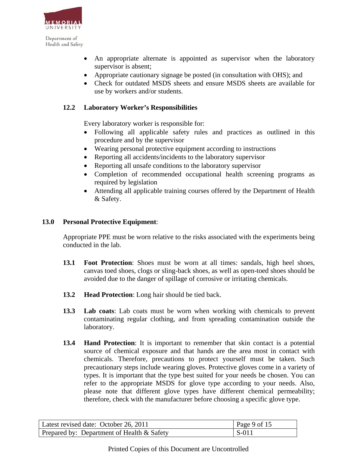

- An appropriate alternate is appointed as supervisor when the laboratory supervisor is absent;
- Appropriate cautionary signage be posted (in consultation with OHS); and
- Check for outdated MSDS sheets and ensure MSDS sheets are available for use by workers and/or students.

### **12.2 Laboratory Worker's Responsibilities**

Every laboratory worker is responsible for:

- Following all applicable safety rules and practices as outlined in this procedure and by the supervisor
- Wearing personal protective equipment according to instructions
- Reporting all accidents/incidents to the laboratory supervisor
- Reporting all unsafe conditions to the laboratory supervisor
- Completion of recommended occupational health screening programs as required by legislation
- Attending all applicable training courses offered by the Department of Health & Safety.

#### **13.0 Personal Protective Equipment**:

Appropriate PPE must be worn relative to the risks associated with the experiments being conducted in the lab.

- **13.1 Foot Protection**: Shoes must be worn at all times: sandals, high heel shoes, canvas toed shoes, clogs or sling-back shoes, as well as open-toed shoes should be avoided due to the danger of spillage of corrosive or irritating chemicals.
- **13.2 Head Protection**: Long hair should be tied back.
- **13.3 Lab coats**: Lab coats must be worn when working with chemicals to prevent contaminating regular clothing, and from spreading contamination outside the laboratory.
- **13.4 Hand Protection**: It is important to remember that skin contact is a potential source of chemical exposure and that hands are the area most in contact with chemicals. Therefore, precautions to protect yourself must be taken. Such precautionary steps include wearing gloves. Protective gloves come in a variety of types. It is important that the type best suited for your needs be chosen. You can refer to the appropriate MSDS for glove type according to your needs. Also, please note that different glove types have different chemical permeability; therefore, check with the manufacturer before choosing a specific glove type.

| Latest revised date: October 26, 2011      | $\vert$ Page 9 of 15 |
|--------------------------------------------|----------------------|
| Prepared by: Department of Health & Safety | $\mid$ S-011         |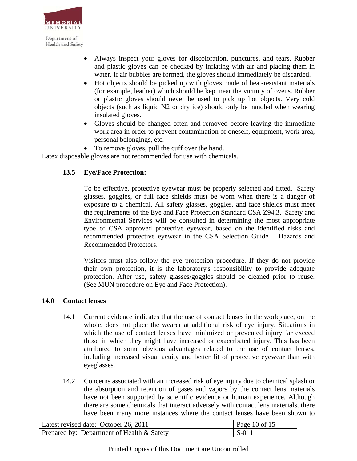

- Always inspect your gloves for discoloration, punctures, and tears. Rubber and plastic gloves can be checked by inflating with air and placing them in water. If air bubbles are formed, the gloves should immediately be discarded.
- Hot objects should be picked up with gloves made of heat-resistant materials (for example, leather) which should be kept near the vicinity of ovens. Rubber or plastic gloves should never be used to pick up hot objects. Very cold objects (such as liquid N2 or dry ice) should only be handled when wearing insulated gloves.
- Gloves should be changed often and removed before leaving the immediate work area in order to prevent contamination of oneself, equipment, work area, personal belongings, etc.
- To remove gloves, pull the cuff over the hand.

Latex disposable gloves are not recommended for use with chemicals.

# **13.5 Eye/Face Protection:**

To be effective, protective eyewear must be properly selected and fitted. Safety glasses, goggles, or full face shields must be worn when there is a danger of exposure to a chemical. All safety glasses, goggles, and face shields must meet the requirements of the Eye and Face Protection Standard CSA Z94.3. Safety and Environmental Services will be consulted in determining the most appropriate type of CSA approved protective eyewear, based on the identified risks and recommended protective eyewear in the CSA Selection Guide – Hazards and Recommended Protectors.

Visitors must also follow the eye protection procedure. If they do not provide their own protection, it is the laboratory's responsibility to provide adequate protection. After use, safety glasses/goggles should be cleaned prior to reuse. (See MUN procedure on Eye and Face Protection).

# **14.0 Contact lenses**

- 14.1 Current evidence indicates that the use of contact lenses in the workplace, on the whole, does not place the wearer at additional risk of eye injury. Situations in which the use of contact lenses have minimized or prevented injury far exceed those in which they might have increased or exacerbated injury. This has been attributed to some obvious advantages related to the use of contact lenses, including increased visual acuity and better fit of protective eyewear than with eyeglasses.
- 14.2 Concerns associated with an increased risk of eye injury due to chemical splash or the absorption and retention of gases and vapors by the contact lens materials have not been supported by scientific evidence or human experience. Although there are some chemicals that interact adversely with contact lens materials, there have been many more instances where the contact lenses have been shown to

| Latest revised date: October 26, 2011        | Page 10 of 15 |
|----------------------------------------------|---------------|
| Prepared by: Department of Health $&$ Safety | $S-011$       |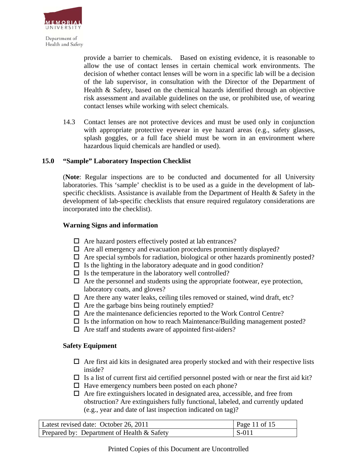

provide a barrier to chemicals. Based on existing evidence, it is reasonable to allow the use of contact lenses in certain chemical work environments. The decision of whether contact lenses will be worn in a specific lab will be a decision of the lab supervisor, in consultation with the Director of the Department of Health & Safety, based on the chemical hazards identified through an objective risk assessment and available guidelines on the use, or prohibited use, of wearing contact lenses while working with select chemicals.

14.3 Contact lenses are not protective devices and must be used only in conjunction with appropriate protective eyewear in eye hazard areas (e.g., safety glasses, splash goggles, or a full face shield must be worn in an environment where hazardous liquid chemicals are handled or used).

#### **15.0 "Sample" Laboratory Inspection Checklist**

(**Note**: Regular inspections are to be conducted and documented for all University laboratories. This 'sample' checklist is to be used as a guide in the development of labspecific checklists. Assistance is available from the Department of Health & Safety in the development of lab-specific checklists that ensure required regulatory considerations are incorporated into the checklist).

#### **Warning Signs and information**

- $\Box$  Are hazard posters effectively posted at lab entrances?
- $\Box$  Are all emergency and evacuation procedures prominently displayed?
- $\Box$  Are special symbols for radiation, biological or other hazards prominently posted?
- $\Box$  Is the lighting in the laboratory adequate and in good condition?
- $\Box$  Is the temperature in the laboratory well controlled?
- $\Box$  Are the personnel and students using the appropriate footwear, eye protection, laboratory coats, and gloves?
- $\Box$  Are there any water leaks, ceiling tiles removed or stained, wind draft, etc?
- $\Box$  Are the garbage bins being routinely emptied?
- $\Box$  Are the maintenance deficiencies reported to the Work Control Centre?
- $\Box$  Is the information on how to reach Maintenance/Building management posted?
- $\Box$  Are staff and students aware of appointed first-aiders?

#### **Safety Equipment**

- $\Box$  Are first aid kits in designated area properly stocked and with their respective lists inside?
- $\Box$  Is a list of current first aid certified personnel posted with or near the first aid kit?
- $\Box$  Have emergency numbers been posted on each phone?
- $\Box$  Are fire extinguishers located in designated area, accessible, and free from obstruction? Are extinguishers fully functional, labeled, and currently updated (e.g., year and date of last inspection indicated on tag)?

| Latest revised date: October 26, 2011        | Page 11 of 15 |
|----------------------------------------------|---------------|
| Prepared by: Department of Health $&$ Safety | $\vert$ S-011 |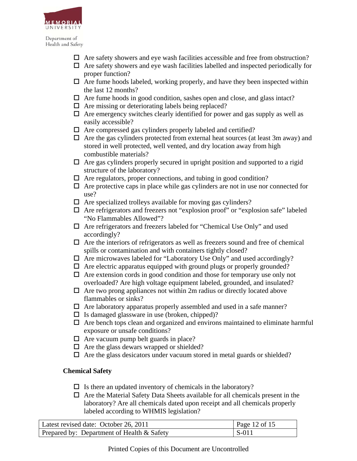

- $\Box$  Are safety showers and eye wash facilities accessible and free from obstruction?
- $\Box$  Are safety showers and eye wash facilities labelled and inspected periodically for proper function?
- $\Box$  Are fume hoods labeled, working properly, and have they been inspected within the last 12 months?
- $\Box$  Are fume hoods in good condition, sashes open and close, and glass intact?
- $\Box$  Are missing or deteriorating labels being replaced?
- $\Box$  Are emergency switches clearly identified for power and gas supply as well as easily accessible?
- $\Box$  Are compressed gas cylinders properly labeled and certified?
- $\Box$  Are the gas cylinders protected from external heat sources (at least 3m away) and stored in well protected, well vented, and dry location away from high combustible materials?
- $\Box$  Are gas cylinders properly secured in upright position and supported to a rigid structure of the laboratory?
- $\Box$  Are regulators, proper connections, and tubing in good condition?
- $\Box$  Are protective caps in place while gas cylinders are not in use nor connected for use?
- $\Box$  Are specialized trolleys available for moving gas cylinders?
- $\Box$  Are refrigerators and freezers not "explosion proof" or "explosion safe" labeled "No Flammables Allowed"?
- Are refrigerators and freezers labeled for "Chemical Use Only" and used accordingly?
- $\Box$  Are the interiors of refrigerators as well as freezers sound and free of chemical spills or contamination and with containers tightly closed?
- □ Are microwaves labeled for "Laboratory Use Only" and used accordingly?
- $\Box$  Are electric apparatus equipped with ground plugs or properly grounded?
- $\Box$  Are extension cords in good condition and those for temporary use only not overloaded? Are high voltage equipment labeled, grounded, and insulated?
- $\Box$  Are two prong appliances not within 2m radius or directly located above flammables or sinks?
- $\Box$  Are laboratory apparatus properly assembled and used in a safe manner?
- $\Box$  Is damaged glassware in use (broken, chipped)?
- $\Box$  Are bench tops clean and organized and environs maintained to eliminate harmful exposure or unsafe conditions?
- $\Box$  Are vacuum pump belt guards in place?
- $\Box$  Are the glass dewars wrapped or shielded?
- $\Box$  Are the glass desicators under vacuum stored in metal guards or shielded?

# **Chemical Safety**

- $\Box$  Is there an updated inventory of chemicals in the laboratory?
- $\Box$  Are the Material Safety Data Sheets available for all chemicals present in the laboratory? Are all chemicals dated upon receipt and all chemicals properly labeled according to WHMIS legislation?

| Latest revised date: October 26, 2011      | Page 12 of 15 |
|--------------------------------------------|---------------|
| Prepared by: Department of Health & Safety | $S-011$       |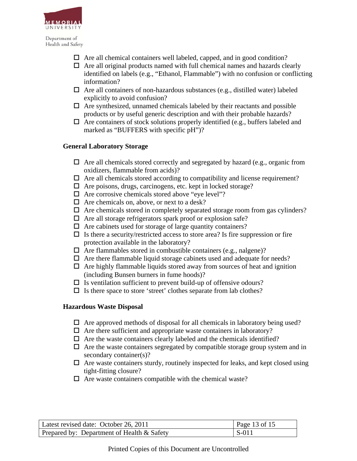

- $\Box$  Are all chemical containers well labeled, capped, and in good condition?
- $\Box$  Are all original products named with full chemical names and hazards clearly identified on labels (e.g., "Ethanol, Flammable") with no confusion or conflicting information?
- $\Box$  Are all containers of non-hazardous substances (e.g., distilled water) labeled explicitly to avoid confusion?
- $\Box$  Are synthesized, unnamed chemicals labeled by their reactants and possible products or by useful generic description and with their probable hazards?
- $\Box$  Are containers of stock solutions properly identified (e.g., buffers labeled and marked as "BUFFERS with specific pH")?

## **General Laboratory Storage**

- $\Box$  Are all chemicals stored correctly and segregated by hazard (e.g., organic from oxidizers, flammable from acids)?
- $\Box$  Are all chemicals stored according to compatibility and license requirement?
- $\Box$  Are poisons, drugs, carcinogens, etc. kept in locked storage?
- $\Box$  Are corrosive chemicals stored above "eye level"?
- $\Box$  Are chemicals on, above, or next to a desk?
- $\Box$  Are chemicals stored in completely separated storage room from gas cylinders?
- $\Box$  Are all storage refrigerators spark proof or explosion safe?
- $\Box$  Are cabinets used for storage of large quantity containers?
- $\Box$  Is there a security/restricted access to store area? Is fire suppression or fire protection available in the laboratory?
- $\Box$  Are flammables stored in combustible containers (e.g., nalgene)?
- $\Box$  Are there flammable liquid storage cabinets used and adequate for needs?
- $\Box$  Are highly flammable liquids stored away from sources of heat and ignition (including Bunsen burners in fume hoods)?
- $\Box$  Is ventilation sufficient to prevent build-up of offensive odours?
- $\Box$  Is there space to store 'street' clothes separate from lab clothes?

# **Hazardous Waste Disposal**

- $\Box$  Are approved methods of disposal for all chemicals in laboratory being used?
- $\Box$  Are there sufficient and appropriate waste containers in laboratory?
- $\Box$  Are the waste containers clearly labeled and the chemicals identified?
- $\Box$  Are the waste containers segregated by compatible storage group system and in secondary container(s)?
- $\Box$  Are waste containers sturdy, routinely inspected for leaks, and kept closed using tight-fitting closure?
- $\Box$  Are waste containers compatible with the chemical waste?

| Latest revised date: October 26, 2011      | Page 13 of 15                               |
|--------------------------------------------|---------------------------------------------|
| Prepared by: Department of Health & Safety | $\vert$ S-01 <sup><math>\prime</math></sup> |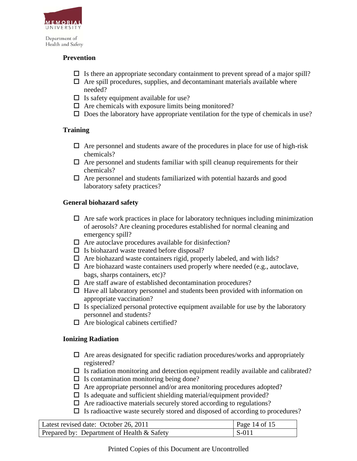

### **Prevention**

- $\Box$  Is there an appropriate secondary containment to prevent spread of a major spill?
- $\Box$  Are spill procedures, supplies, and decontaminant materials available where needed?
- $\Box$  Is safety equipment available for use?
- $\Box$  Are chemicals with exposure limits being monitored?
- $\square$  Does the laboratory have appropriate ventilation for the type of chemicals in use?

## **Training**

- $\Box$  Are personnel and students aware of the procedures in place for use of high-risk chemicals?
- $\Box$  Are personnel and students familiar with spill cleanup requirements for their chemicals?
- $\Box$  Are personnel and students familiarized with potential hazards and good laboratory safety practices?

## **General biohazard safety**

- $\Box$  Are safe work practices in place for laboratory techniques including minimization of aerosols? Are cleaning procedures established for normal cleaning and emergency spill?
- $\Box$  Are autoclave procedures available for disinfection?
- $\Box$  Is biohazard waste treated before disposal?
- $\Box$  Are biohazard waste containers rigid, properly labeled, and with lids?
- $\Box$  Are biohazard waste containers used properly where needed (e.g., autoclave, bags, sharps containers, etc)?
- $\Box$  Are staff aware of established decontamination procedures?
- $\Box$  Have all laboratory personnel and students been provided with information on appropriate vaccination?
- $\Box$  Is specialized personal protective equipment available for use by the laboratory personnel and students?
- $\Box$  Are biological cabinets certified?

# **Ionizing Radiation**

- $\Box$  Are areas designated for specific radiation procedures/works and appropriately registered?
- $\Box$  Is radiation monitoring and detection equipment readily available and calibrated?
- $\Box$  Is contamination monitoring being done?
- $\Box$  Are appropriate personnel and/or area monitoring procedures adopted?
- $\square$  Is adequate and sufficient shielding material/equipment provided?
- $\Box$  Are radioactive materials securely stored according to regulations?
- $\Box$  Is radioactive waste securely stored and disposed of according to procedures?

| Latest revised date: October 26, 2011      | Page 14 of 15           |
|--------------------------------------------|-------------------------|
| Prepared by: Department of Health & Safety | $\mathsf{S}\text{-}011$ |